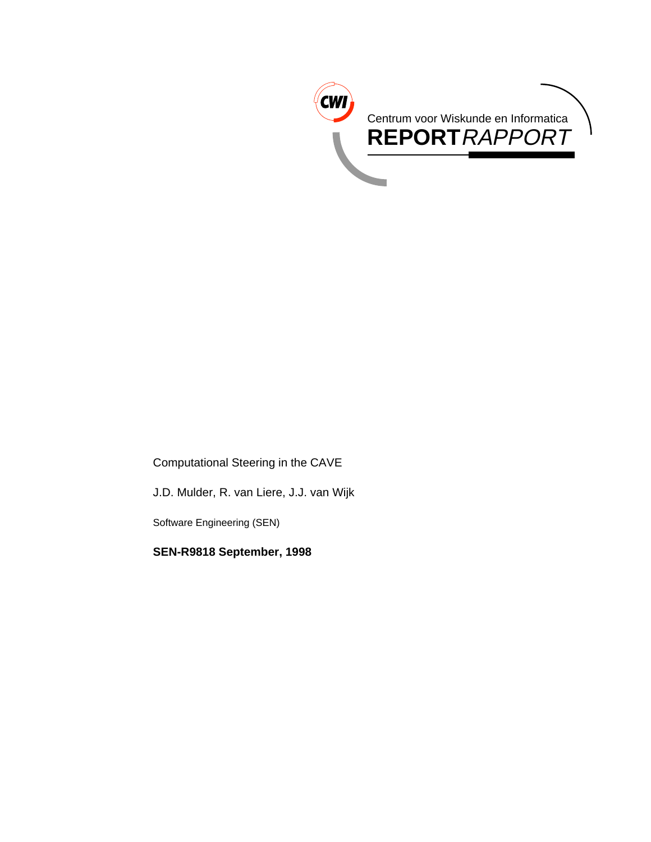

Computational Steering in the CAVE

J.D. Mulder, R. van Liere, J.J. van Wijk

Software Engineering (SEN)

**SEN-R9818 September, 1998**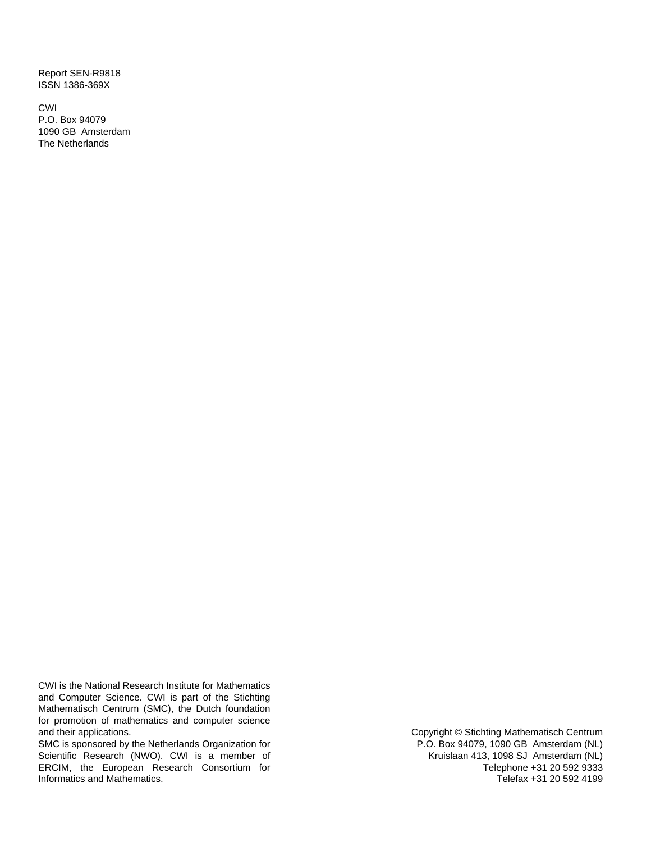Report SEN-R9818 ISSN 1386-369X

CWI P.O. Box 94079 1090 GB Amsterdam The Netherlands

CWI is the National Research Institute for Mathematics and Computer Science. CWI is part of the Stichting Mathematisch Centrum (SMC), the Dutch foundation for promotion of mathematics and computer science and their applications.

SMC is sponsored by the Netherlands Organization for Scientific Research (NWO). CWI is a member of ERCIM, the European Research Consortium for Informatics and Mathematics.

Copyright © Stichting Mathematisch Centrum P.O. Box 94079, 1090 GB Amsterdam (NL) Kruislaan 413, 1098 SJ Amsterdam (NL) Telephone +31 20 592 9333 Telefax +31 20 592 4199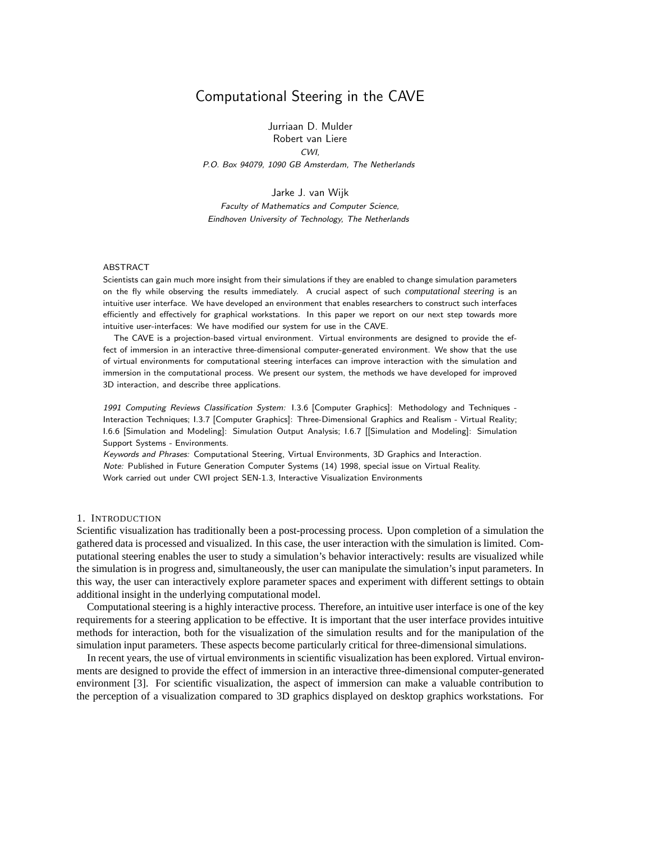# Computational Steering in the CAVE

Jurriaan D. Mulder Robert van Liere  $C$ <sub>*M* $/$  $I$ </sub>

P.O. Box 94079, 1090 GB Amsterdam, The Netherlands

Jarke J. van Wijk Faculty of Mathematics and Computer Science, Eindhoven University of Technology, The Netherlands

## ABSTRACT

Scientists can gain much more insight from their simulations if they are enabled to change simulation parameters on the fly while observing the results immediately. A crucial aspect of such *computational steering* is an intuitive user interface. We have developed an environment that enables researchers to construct such interfaces efficiently and effectively for graphical workstations. In this paper we report on our next step towards more intuitive user-interfaces: We have modified our system for use in the CAVE.

The CAVE is a projection-based virtual environment. Virtual environments are designed to provide the effect of immersion in an interactive three-dimensional computer-generated environment. We show that the use of virtual environments for computational steering interfaces can improve interaction with the simulation and immersion in the computational process. We present our system, the methods we have developed for improved 3D interaction, and describe three applications.

1991 Computing Reviews Classification System: I.3.6 [Computer Graphics]: Methodology and Techniques - Interaction Techniques; I.3.7 [Computer Graphics]: Three-Dimensional Graphics and Realism - Virtual Reality; I.6.6 [Simulation and Modeling]: Simulation Output Analysis; I.6.7 [[Simulation and Modeling]: Simulation Support Systems - Environments.

Keywords and Phrases: Computational Steering, Virtual Environments, 3D Graphics and Interaction. Note: Published in Future Generation Computer Systems (14) 1998, special issue on Virtual Reality. Work carried out under CWI project SEN-1.3, Interactive Visualization Environments

#### 1. INTRODUCTION

Scientific visualization has traditionally been a post-processing process. Upon completion of a simulation the gathered data is processed and visualized. In this case, the user interaction with the simulation is limited. Computational steering enables the user to study a simulation's behavior interactively: results are visualized while the simulation is in progress and, simultaneously, the user can manipulate the simulation's input parameters. In this way, the user can interactively explore parameter spaces and experiment with different settings to obtain additional insight in the underlying computational model.

Computational steering is a highly interactive process. Therefore, an intuitive user interface is one of the key requirements for a steering application to be effective. It is important that the user interface provides intuitive methods for interaction, both for the visualization of the simulation results and for the manipulation of the simulation input parameters. These aspects become particularly critical for three-dimensional simulations.

In recent years, the use of virtual environments in scientific visualization has been explored. Virtual environments are designed to provide the effect of immersion in an interactive three-dimensional computer-generated environment [3]. For scientific visualization, the aspect of immersion can make a valuable contribution to the perception of a visualization compared to 3D graphics displayed on desktop graphics workstations. For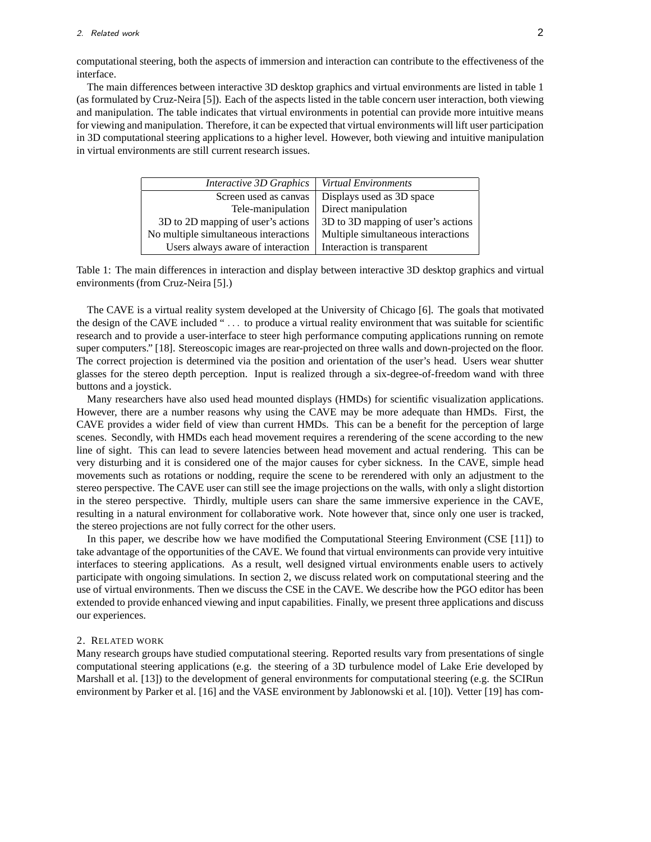computational steering, both the aspects of immersion and interaction can contribute to the effectiveness of the interface.

The main differences between interactive 3D desktop graphics and virtual environments are listed in table 1 (as formulated by Cruz-Neira [5]). Each of the aspects listed in the table concern user interaction, both viewing and manipulation. The table indicates that virtual environments in potential can provide more intuitive means for viewing and manipulation. Therefore, it can be expected that virtual environments will lift user participation in 3D computational steering applications to a higher level. However, both viewing and intuitive manipulation in virtual environments are still current research issues.

| Interactive 3D Graphics               | Virtual Environments               |  |
|---------------------------------------|------------------------------------|--|
| Screen used as canvas                 | Displays used as 3D space          |  |
| Tele-manipulation                     | Direct manipulation                |  |
| 3D to 2D mapping of user's actions    | 3D to 3D mapping of user's actions |  |
| No multiple simultaneous interactions | Multiple simultaneous interactions |  |
| Users always aware of interaction     | Interaction is transparent         |  |

Table 1: The main differences in interaction and display between interactive 3D desktop graphics and virtual environments (from Cruz-Neira [5].)

The CAVE is a virtual reality system developed at the University of Chicago [6]. The goals that motivated the design of the CAVE included " ... to produce a virtual reality environment that was suitable for scientific research and to provide a user-interface to steer high performance computing applications running on remote super computers." [18]. Stereoscopic images are rear-projected on three walls and down-projected on the floor. The correct projection is determined via the position and orientation of the user's head. Users wear shutter glasses for the stereo depth perception. Input is realized through a six-degree-of-freedom wand with three buttons and a joystick.

Many researchers have also used head mounted displays (HMDs) for scientific visualization applications. However, there are a number reasons why using the CAVE may be more adequate than HMDs. First, the CAVE provides a wider field of view than current HMDs. This can be a benefit for the perception of large scenes. Secondly, with HMDs each head movement requires a rerendering of the scene according to the new line of sight. This can lead to severe latencies between head movement and actual rendering. This can be very disturbing and it is considered one of the major causes for cyber sickness. In the CAVE, simple head movements such as rotations or nodding, require the scene to be rerendered with only an adjustment to the stereo perspective. The CAVE user can still see the image projections on the walls, with only a slight distortion in the stereo perspective. Thirdly, multiple users can share the same immersive experience in the CAVE, resulting in a natural environment for collaborative work. Note however that, since only one user is tracked, the stereo projections are not fully correct for the other users.

In this paper, we describe how we have modified the Computational Steering Environment (CSE [11]) to take advantage of the opportunities of the CAVE. We found that virtual environments can provide very intuitive interfaces to steering applications. As a result, well designed virtual environments enable users to actively participate with ongoing simulations. In section 2, we discuss related work on computational steering and the use of virtual environments. Then we discuss the CSE in the CAVE. We describe how the PGO editor has been extended to provide enhanced viewing and input capabilities. Finally, we present three applications and discuss our experiences.

## 2. RELATED WORK

Many research groups have studied computational steering. Reported results vary from presentations of single computational steering applications (e.g. the steering of a 3D turbulence model of Lake Erie developed by Marshall et al. [13]) to the development of general environments for computational steering (e.g. the SCIRun environment by Parker et al. [16] and the VASE environment by Jablonowski et al. [10]). Vetter [19] has com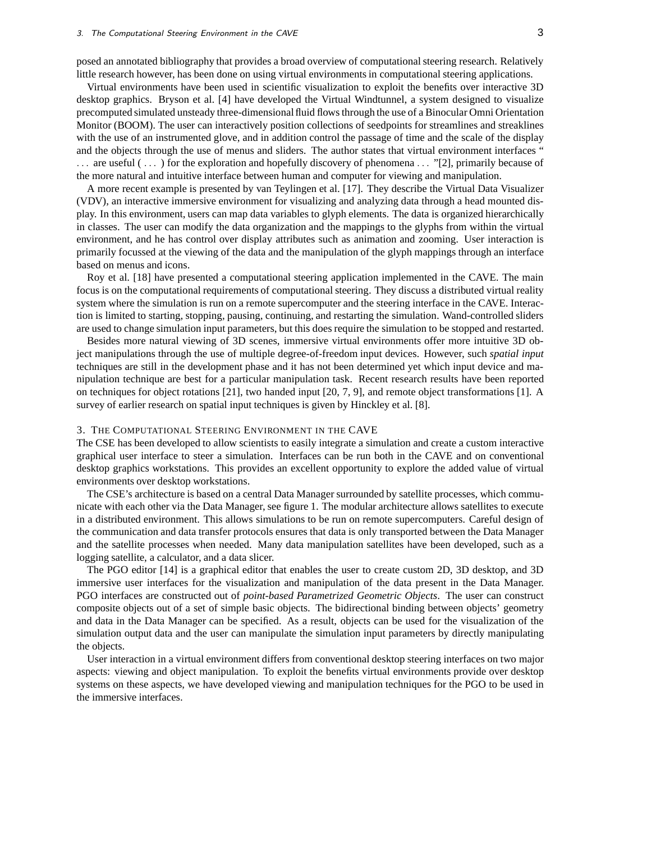posed an annotated bibliography that provides a broad overview of computational steering research. Relatively little research however, has been done on using virtual environments in computational steering applications.

Virtual environments have been used in scientific visualization to exploit the benefits over interactive 3D desktop graphics. Bryson et al. [4] have developed the Virtual Windtunnel, a system designed to visualize precomputed simulated unsteady three-dimensional fluid flows through the use of a Binocular Omni Orientation Monitor (BOOM). The user can interactively position collections of seedpoints for streamlines and streaklines with the use of an instrumented glove, and in addition control the passage of time and the scale of the display and the objects through the use of menus and sliders. The author states that virtual environment interfaces " ... are useful ( ... ) for the exploration and hopefully discovery of phenomena ... "[2], primarily because of the more natural and intuitive interface between human and computer for viewing and manipulation.

A more recent example is presented by van Teylingen et al. [17]. They describe the Virtual Data Visualizer (VDV), an interactive immersive environment for visualizing and analyzing data through a head mounted display. In this environment, users can map data variables to glyph elements. The data is organized hierarchically in classes. The user can modify the data organization and the mappings to the glyphs from within the virtual environment, and he has control over display attributes such as animation and zooming. User interaction is primarily focussed at the viewing of the data and the manipulation of the glyph mappings through an interface based on menus and icons.

Roy et al. [18] have presented a computational steering application implemented in the CAVE. The main focus is on the computational requirements of computational steering. They discuss a distributed virtual reality system where the simulation is run on a remote supercomputer and the steering interface in the CAVE. Interaction is limited to starting, stopping, pausing, continuing, and restarting the simulation. Wand-controlled sliders are used to change simulation input parameters, but this does require the simulation to be stopped and restarted.

Besides more natural viewing of 3D scenes, immersive virtual environments offer more intuitive 3D object manipulations through the use of multiple degree-of-freedom input devices. However, such *spatial input* techniques are still in the development phase and it has not been determined yet which input device and manipulation technique are best for a particular manipulation task. Recent research results have been reported on techniques for object rotations [21], two handed input [20, 7, 9], and remote object transformations [1]. A survey of earlier research on spatial input techniques is given by Hinckley et al. [8].

#### 3. THE COMPUTATIONAL STEERING ENVIRONMENT IN THE CAVE

The CSE has been developed to allow scientists to easily integrate a simulation and create a custom interactive graphical user interface to steer a simulation. Interfaces can be run both in the CAVE and on conventional desktop graphics workstations. This provides an excellent opportunity to explore the added value of virtual environments over desktop workstations.

The CSE's architecture is based on a central Data Manager surrounded by satellite processes, which communicate with each other via the Data Manager, see figure 1. The modular architecture allows satellites to execute in a distributed environment. This allows simulations to be run on remote supercomputers. Careful design of the communication and data transfer protocols ensures that data is only transported between the Data Manager and the satellite processes when needed. Many data manipulation satellites have been developed, such as a logging satellite, a calculator, and a data slicer.

The PGO editor [14] is a graphical editor that enables the user to create custom 2D, 3D desktop, and 3D immersive user interfaces for the visualization and manipulation of the data present in the Data Manager. PGO interfaces are constructed out of *point-based Parametrized Geometric Objects*. The user can construct composite objects out of a set of simple basic objects. The bidirectional binding between objects' geometry and data in the Data Manager can be specified. As a result, objects can be used for the visualization of the simulation output data and the user can manipulate the simulation input parameters by directly manipulating the objects.

User interaction in a virtual environment differs from conventional desktop steering interfaces on two major aspects: viewing and object manipulation. To exploit the benefits virtual environments provide over desktop systems on these aspects, we have developed viewing and manipulation techniques for the PGO to be used in the immersive interfaces.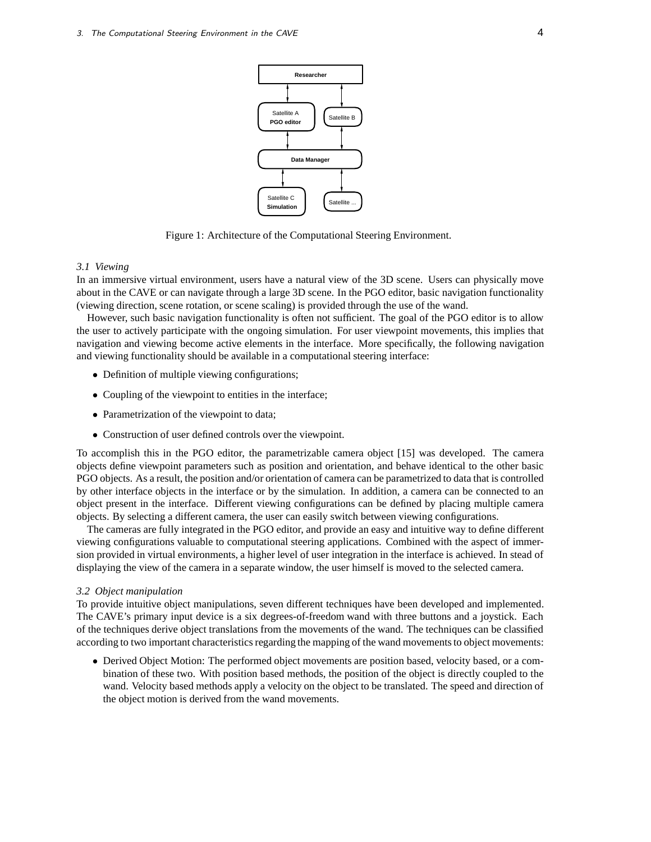

Figure 1: Architecture of the Computational Steering Environment.

#### *3.1 Viewing*

In an immersive virtual environment, users have a natural view of the 3D scene. Users can physically move about in the CAVE or can navigate through a large 3D scene. In the PGO editor, basic navigation functionality (viewing direction, scene rotation, or scene scaling) is provided through the use of the wand.

However, such basic navigation functionality is often not sufficient. The goal of the PGO editor is to allow the user to actively participate with the ongoing simulation. For user viewpoint movements, this implies that navigation and viewing become active elements in the interface. More specifically, the following navigation and viewing functionality should be available in a computational steering interface:

- Definition of multiple viewing configurations;
- Coupling of the viewpoint to entities in the interface;
- Parametrization of the viewpoint to data;
- Construction of user defined controls over the viewpoint.

To accomplish this in the PGO editor, the parametrizable camera object [15] was developed. The camera objects define viewpoint parameters such as position and orientation, and behave identical to the other basic PGO objects. As a result, the position and/or orientation of camera can be parametrized to data that is controlled by other interface objects in the interface or by the simulation. In addition, a camera can be connected to an object present in the interface. Different viewing configurations can be defined by placing multiple camera objects. By selecting a different camera, the user can easily switch between viewing configurations.

The cameras are fully integrated in the PGO editor, and provide an easy and intuitive way to define different viewing configurations valuable to computational steering applications. Combined with the aspect of immersion provided in virtual environments, a higher level of user integration in the interface is achieved. In stead of displaying the view of the camera in a separate window, the user himself is moved to the selected camera.

## *3.2 Object manipulation*

To provide intuitive object manipulations, seven different techniques have been developed and implemented. The CAVE's primary input device is a six degrees-of-freedom wand with three buttons and a joystick. Each of the techniques derive object translations from the movements of the wand. The techniques can be classified according to two important characteristics regarding the mapping of the wand movements to object movements:

• Derived Object Motion: The performed object movements are position based, velocity based, or a combination of these two. With position based methods, the position of the object is directly coupled to the wand. Velocity based methods apply a velocity on the object to be translated. The speed and direction of the object motion is derived from the wand movements.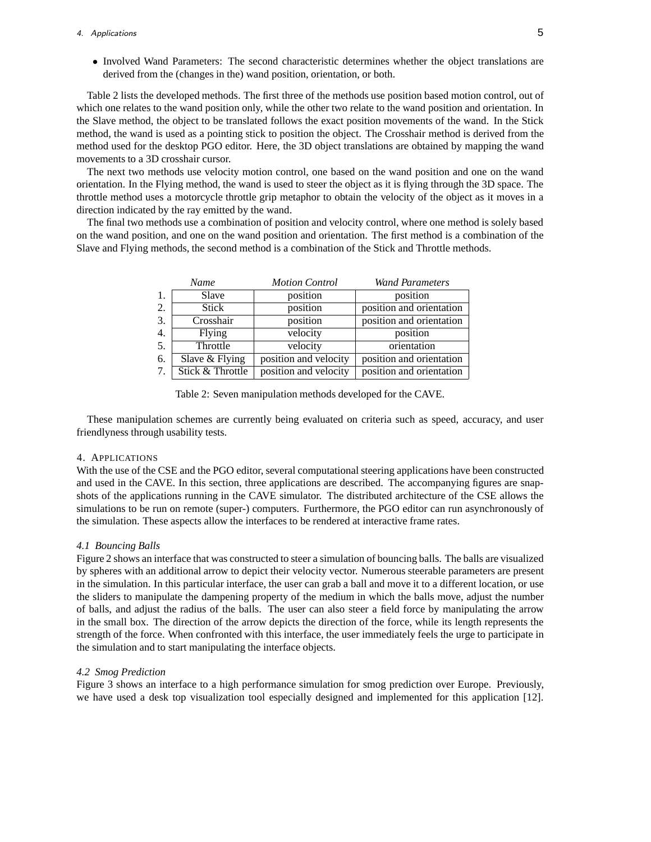• Involved Wand Parameters: The second characteristic determines whether the object translations are derived from the (changes in the) wand position, orientation, or both.

Table 2 lists the developed methods. The first three of the methods use position based motion control, out of which one relates to the wand position only, while the other two relate to the wand position and orientation. In the Slave method, the object to be translated follows the exact position movements of the wand. In the Stick method, the wand is used as a pointing stick to position the object. The Crosshair method is derived from the method used for the desktop PGO editor. Here, the 3D object translations are obtained by mapping the wand movements to a 3D crosshair cursor.

The next two methods use velocity motion control, one based on the wand position and one on the wand orientation. In the Flying method, the wand is used to steer the object as it is flying through the 3D space. The throttle method uses a motorcycle throttle grip metaphor to obtain the velocity of the object as it moves in a direction indicated by the ray emitted by the wand.

The final two methods use a combination of position and velocity control, where one method is solely based on the wand position, and one on the wand position and orientation. The first method is a combination of the Slave and Flying methods, the second method is a combination of the Stick and Throttle methods.

|    | Name             | <b>Motion Control</b> | <b>Wand Parameters</b>   |
|----|------------------|-----------------------|--------------------------|
| 1. | Slave            | position              | position                 |
| 2. | <b>Stick</b>     | position              | position and orientation |
| 3. | Crosshair        | position              | position and orientation |
| 4. | Flying           | velocity              | position                 |
| 5. | Throttle         | velocity              | orientation              |
| 6. | Slave & Flying   | position and velocity | position and orientation |
| 7. | Stick & Throttle | position and velocity | position and orientation |

Table 2: Seven manipulation methods developed for the CAVE.

These manipulation schemes are currently being evaluated on criteria such as speed, accuracy, and user friendlyness through usability tests.

#### 4. APPLICATIONS

With the use of the CSE and the PGO editor, several computational steering applications have been constructed and used in the CAVE. In this section, three applications are described. The accompanying figures are snapshots of the applications running in the CAVE simulator. The distributed architecture of the CSE allows the simulations to be run on remote (super-) computers. Furthermore, the PGO editor can run asynchronously of the simulation. These aspects allow the interfaces to be rendered at interactive frame rates.

#### *4.1 Bouncing Balls*

Figure 2 shows an interface that was constructed to steer a simulation of bouncing balls. The balls are visualized by spheres with an additional arrow to depict their velocity vector. Numerous steerable parameters are present in the simulation. In this particular interface, the user can grab a ball and move it to a different location, or use the sliders to manipulate the dampening property of the medium in which the balls move, adjust the number of balls, and adjust the radius of the balls. The user can also steer a field force by manipulating the arrow in the small box. The direction of the arrow depicts the direction of the force, while its length represents the strength of the force. When confronted with this interface, the user immediately feels the urge to participate in the simulation and to start manipulating the interface objects.

#### *4.2 Smog Prediction*

Figure 3 shows an interface to a high performance simulation for smog prediction over Europe. Previously, we have used a desk top visualization tool especially designed and implemented for this application [12].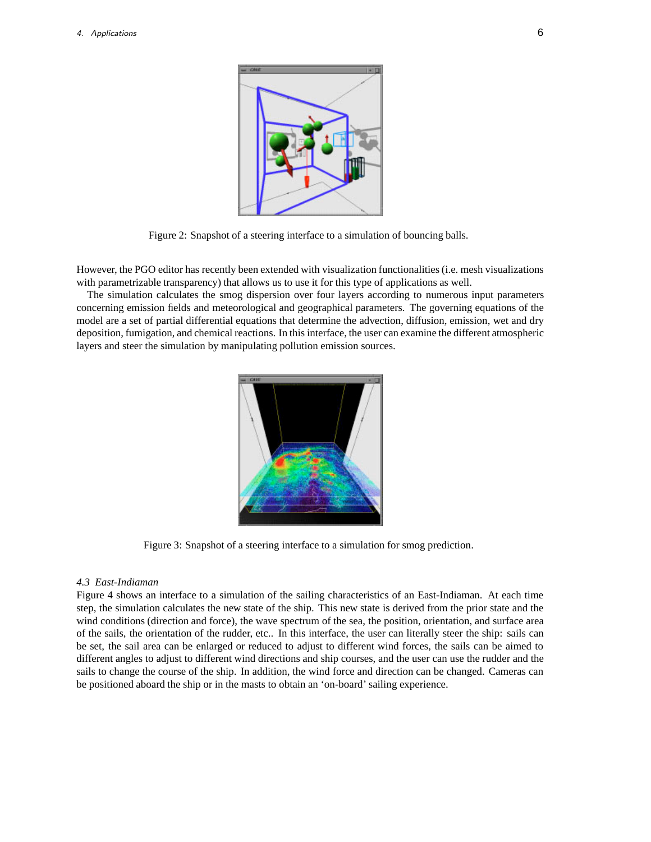

Figure 2: Snapshot of a steering interface to a simulation of bouncing balls.

However, the PGO editor has recently been extended with visualization functionalities (i.e. mesh visualizations with parametrizable transparency) that allows us to use it for this type of applications as well.

The simulation calculates the smog dispersion over four layers according to numerous input parameters concerning emission fields and meteorological and geographical parameters. The governing equations of the model are a set of partial differential equations that determine the advection, diffusion, emission, wet and dry deposition, fumigation, and chemical reactions. In this interface, the user can examine the different atmospheric layers and steer the simulation by manipulating pollution emission sources.



Figure 3: Snapshot of a steering interface to a simulation for smog prediction.

#### *4.3 East-Indiaman*

Figure 4 shows an interface to a simulation of the sailing characteristics of an East-Indiaman. At each time step, the simulation calculates the new state of the ship. This new state is derived from the prior state and the wind conditions (direction and force), the wave spectrum of the sea, the position, orientation, and surface area of the sails, the orientation of the rudder, etc.. In this interface, the user can literally steer the ship: sails can be set, the sail area can be enlarged or reduced to adjust to different wind forces, the sails can be aimed to different angles to adjust to different wind directions and ship courses, and the user can use the rudder and the sails to change the course of the ship. In addition, the wind force and direction can be changed. Cameras can be positioned aboard the ship or in the masts to obtain an 'on-board' sailing experience.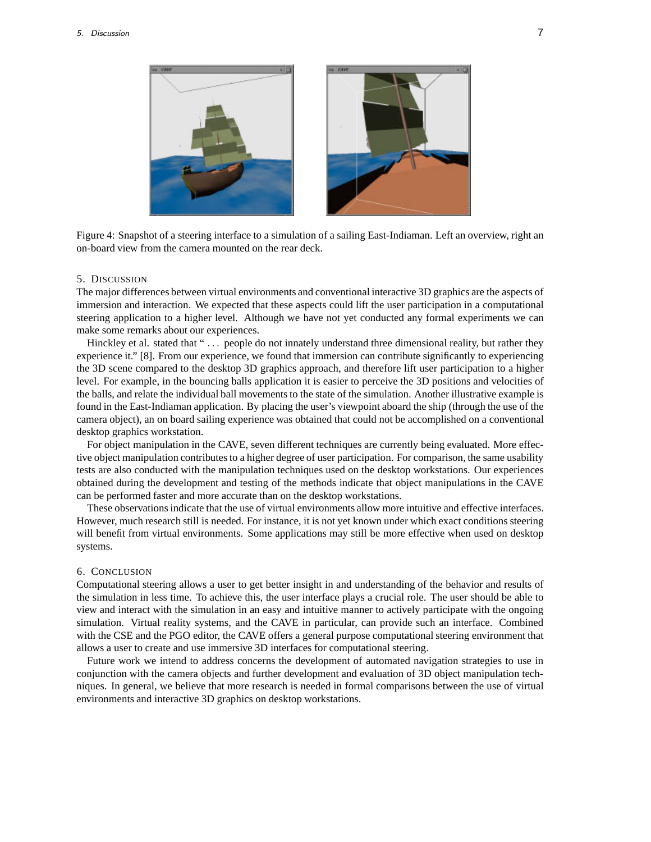## 5. Discussion 7



Figure 4: Snapshot of a steering interface to a simulation of a sailing East-Indiaman. Left an overview, right an on-board view from the camera mounted on the rear deck.

## 5. DISCUSSION

The major differences between virtual environments and conventional interactive 3D graphics are the aspects of immersion and interaction. We expected that these aspects could lift the user participation in a computational steering application to a higher level. Although we have not yet conducted any formal experiments we can make some remarks about our experiences.

Hinckley et al. stated that " ... people do not innately understand three dimensional reality, but rather they experience it." [8]. From our experience, we found that immersion can contribute significantly to experiencing the 3D scene compared to the desktop 3D graphics approach, and therefore lift user participation to a higher level. For example, in the bouncing balls application it is easier to perceive the 3D positions and velocities of the balls, and relate the individual ball movements to the state of the simulation. Another illustrative example is found in the East-Indiaman application. By placing the user's viewpoint aboard the ship (through the use of the camera object), an on board sailing experience was obtained that could not be accomplished on a conventional desktop graphics workstation.

For object manipulation in the CAVE, seven different techniques are currently being evaluated. More effective object manipulation contributes to a higher degree of user participation. For comparison, the same usability tests are also conducted with the manipulation techniques used on the desktop workstations. Our experiences obtained during the development and testing of the methods indicate that object manipulations in the CAVE can be performed faster and more accurate than on the desktop workstations.

These observations indicate that the use of virtual environments allow more intuitive and effective interfaces. However, much research still is needed. For instance, it is not yet known under which exact conditions steering will benefit from virtual environments. Some applications may still be more effective when used on desktop systems.

#### 6. CONCLUSION

Computational steering allows a user to get better insight in and understanding of the behavior and results of the simulation in less time. To achieve this, the user interface plays a crucial role. The user should be able to view and interact with the simulation in an easy and intuitive manner to actively participate with the ongoing simulation. Virtual reality systems, and the CAVE in particular, can provide such an interface. Combined with the CSE and the PGO editor, the CAVE offers a general purpose computational steering environment that allows a user to create and use immersive 3D interfaces for computational steering.

Future work we intend to address concerns the development of automated navigation strategies to use in conjunction with the camera objects and further development and evaluation of 3D object manipulation techniques. In general, we believe that more research is needed in formal comparisons between the use of virtual environments and interactive 3D graphics on desktop workstations.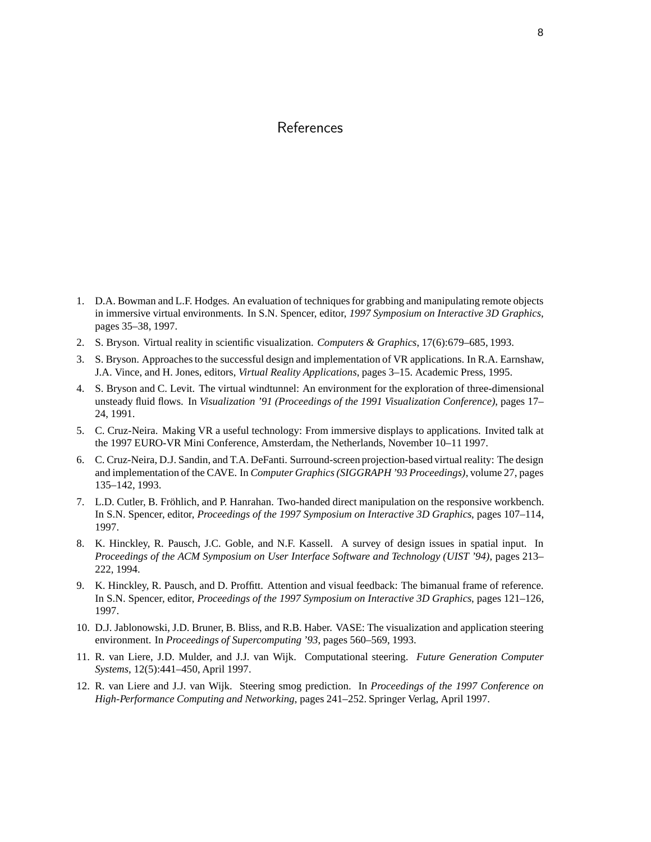# References

- 1. D.A. Bowman and L.F. Hodges. An evaluation of techniques for grabbing and manipulating remote objects in immersive virtual environments. In S.N. Spencer, editor, *1997 Symposium on Interactive 3D Graphics*, pages 35–38, 1997.
- 2. S. Bryson. Virtual reality in scientific visualization. *Computers & Graphics*, 17(6):679–685, 1993.
- 3. S. Bryson. Approaches to the successful design and implementation of VR applications. In R.A. Earnshaw, J.A. Vince, and H. Jones, editors, *Virtual Reality Applications*, pages 3–15. Academic Press, 1995.
- 4. S. Bryson and C. Levit. The virtual windtunnel: An environment for the exploration of three-dimensional unsteady fluid flows. In *Visualization '91 (Proceedings of the 1991 Visualization Conference)*, pages 17– 24, 1991.
- 5. C. Cruz-Neira. Making VR a useful technology: From immersive displays to applications. Invited talk at the 1997 EURO-VR Mini Conference, Amsterdam, the Netherlands, November 10–11 1997.
- 6. C. Cruz-Neira, D.J. Sandin, and T.A. DeFanti. Surround-screen projection-based virtual reality: The design and implementation of the CAVE. In *Computer Graphics (SIGGRAPH '93 Proceedings)*, volume 27, pages 135–142, 1993.
- 7. L.D. Cutler, B. Fröhlich, and P. Hanrahan. Two-handed direct manipulation on the responsive workbench. In S.N. Spencer, editor, *Proceedings of the 1997 Symposium on Interactive 3D Graphics*, pages 107–114, 1997.
- 8. K. Hinckley, R. Pausch, J.C. Goble, and N.F. Kassell. A survey of design issues in spatial input. In *Proceedings of the ACM Symposium on User Interface Software and Technology (UIST '94)*, pages 213– 222, 1994.
- 9. K. Hinckley, R. Pausch, and D. Proffitt. Attention and visual feedback: The bimanual frame of reference. In S.N. Spencer, editor, *Proceedings of the 1997 Symposium on Interactive 3D Graphics*, pages 121–126, 1997.
- 10. D.J. Jablonowski, J.D. Bruner, B. Bliss, and R.B. Haber. VASE: The visualization and application steering environment. In *Proceedings of Supercomputing '93*, pages 560–569, 1993.
- 11. R. van Liere, J.D. Mulder, and J.J. van Wijk. Computational steering. *Future Generation Computer Systems*, 12(5):441–450, April 1997.
- 12. R. van Liere and J.J. van Wijk. Steering smog prediction. In *Proceedings of the 1997 Conference on High-Performance Computing and Networking*, pages 241–252. Springer Verlag, April 1997.